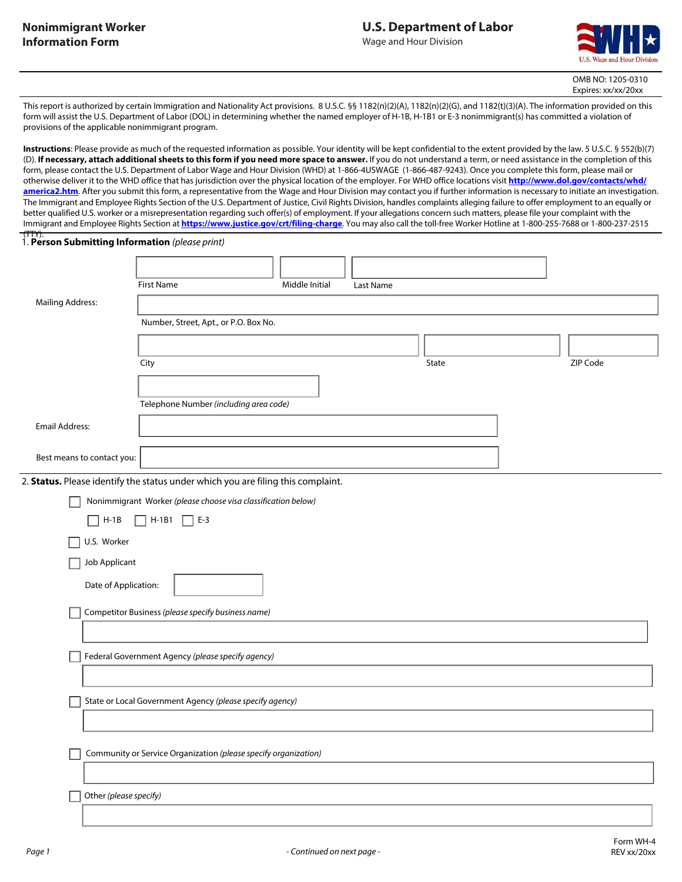

OMB NO: 1205-0310 Expires: xx/xx/20xx

This report is authorized by certain Immigration and Nationality Act provisions. 8 U.S.C. §§ 1182(n)(2)(A), 1182(n)(2)(G), and 1182(t)(3)(A). The information provided on this form will assist the U.S. Department of Labor (DOL) in determining whether the named employer of H-1B, H-1B1 or E-3 nonimmigrant(s) has committed a violation of provisions of the applicable nonimmigrant program.

**Instructions**: Please provide as much of the requested information as possible. Your identity will be kept confidential to the extent provided by the law. 5 U.S.C. § 552(b)(7) (D). **If necessary, attach additional sheets to this form if you need more space to answer.** If you do not understand a term, or need assistance in the completion of this form, please contact the U.S. Department of Labor Wage and Hour Division (WHD) at 1-866-4USWAGE (1-866-487-9243). Once you complete this form, please mail or otherwise deliver it to the WHD office that has jurisdiction over the physical location of the employer. For WHD office locations visit **http://www.dol.gov/contacts/whd/ america2.htm**. After you submit this form, a representative from the Wage and Hour Division may contact you if further information is necessary to initiate an investigation. The Immigrant and Employee Rights Section of the U.S. Department of Justice, Civil Rights Division, handles complaints alleging failure to offer employment to an equally or better qualified U.S. worker or a misrepresentation regarding such offer(s) of employment. If your allegations concern such matters, please file your complaint with the Immigrant and Employee Rights Section at **https://www.justice.gov/crt/filing-charge**. You may also call the toll-free Worker Hotline at 1-800-255-7688 or 1-800-237-2515

# (TTY). 1. **Person Submitting Information** *(please print)*

|                                                    | <b>First Name</b>                                                                | Middle Initial | Last Name |       |          |
|----------------------------------------------------|----------------------------------------------------------------------------------|----------------|-----------|-------|----------|
| <b>Mailing Address:</b>                            |                                                                                  |                |           |       |          |
|                                                    | Number, Street, Apt., or P.O. Box No.                                            |                |           |       |          |
|                                                    |                                                                                  |                |           |       |          |
|                                                    | City                                                                             |                |           | State | ZIP Code |
|                                                    |                                                                                  |                |           |       |          |
|                                                    | Telephone Number (including area code)                                           |                |           |       |          |
| <b>Email Address:</b>                              |                                                                                  |                |           |       |          |
| Best means to contact you:                         |                                                                                  |                |           |       |          |
|                                                    | 2. Status. Please identify the status under which you are filing this complaint. |                |           |       |          |
|                                                    | Nonimmigrant Worker (please choose visa classification below)                    |                |           |       |          |
| $\Box$ H-1B                                        | $H-1B1$<br>$\Box$ E-3<br>$\mathbf{I}$                                            |                |           |       |          |
| U.S. Worker                                        |                                                                                  |                |           |       |          |
| Job Applicant                                      |                                                                                  |                |           |       |          |
| Date of Application:                               |                                                                                  |                |           |       |          |
| Competitor Business (please specify business name) |                                                                                  |                |           |       |          |
|                                                    |                                                                                  |                |           |       |          |
|                                                    | Federal Government Agency (please specify agency)                                |                |           |       |          |
|                                                    |                                                                                  |                |           |       |          |
|                                                    | State or Local Government Agency (please specify agency)                         |                |           |       |          |
|                                                    |                                                                                  |                |           |       |          |
|                                                    | Community or Service Organization (please specify organization)                  |                |           |       |          |
|                                                    |                                                                                  |                |           |       |          |
| Other (please specify)                             |                                                                                  |                |           |       |          |
|                                                    |                                                                                  |                |           |       |          |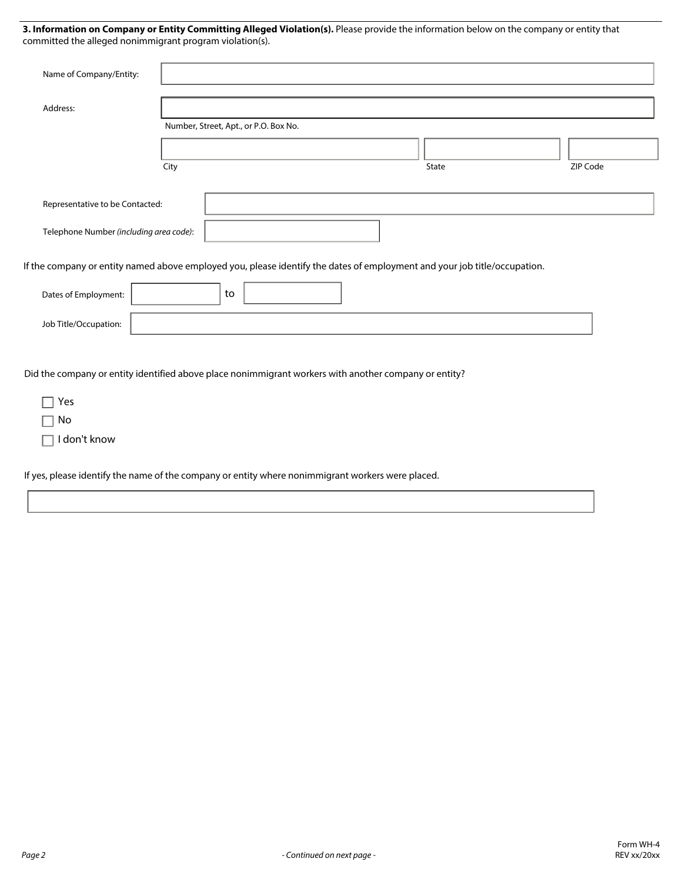**3. Information on Company or Entity Committing Alleged Violation(s).** Please provide the information below on the company or entity that committed the alleged nonimmigrant program violation(s).

| Name of Company/Entity:                                                                                                   |                                       |       |          |
|---------------------------------------------------------------------------------------------------------------------------|---------------------------------------|-------|----------|
| Address:                                                                                                                  |                                       |       |          |
|                                                                                                                           | Number, Street, Apt., or P.O. Box No. |       |          |
|                                                                                                                           |                                       |       |          |
|                                                                                                                           | City                                  | State | ZIP Code |
| Representative to be Contacted:<br>Telephone Number (including area code):                                                |                                       |       |          |
| If the company or entity named above employed you, please identify the dates of employment and your job title/occupation. |                                       |       |          |
| Dates of Employment:                                                                                                      | to                                    |       |          |
| Job Title/Occupation:                                                                                                     |                                       |       |          |
| Did the company or entity identified above place nonimmigrant workers with another company or entity?                     |                                       |       |          |

| $\Box$ Yes          |  |
|---------------------|--|
| l INo               |  |
| $\Box$ I don't know |  |

If yes, please identify the name of the company or entity where nonimmigrant workers were placed.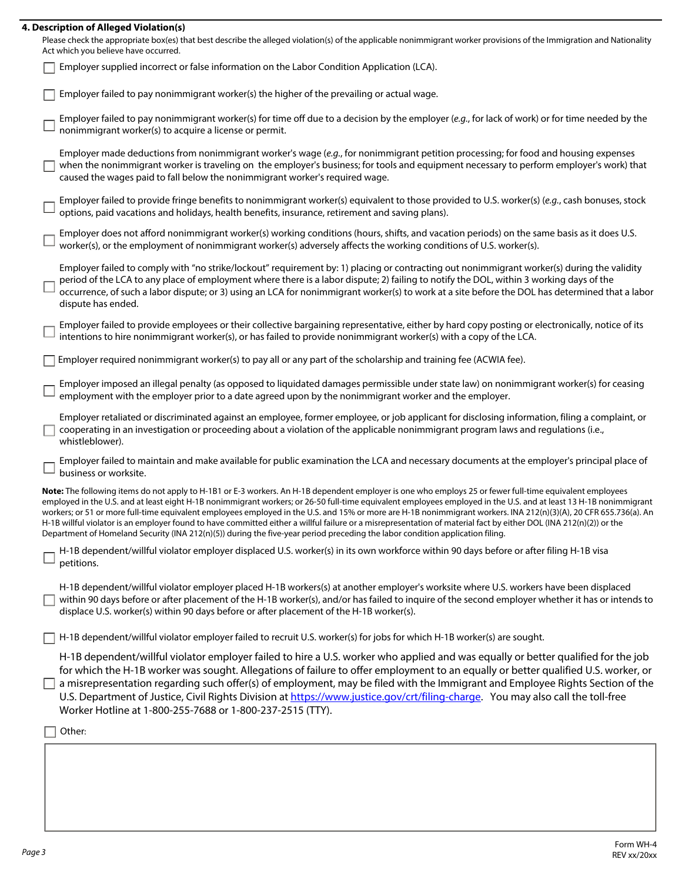#### **4. Description of Alleged Violation(s)**

| Please check the appropriate box(es) that best describe the alleged violation(s) of the applicable nonimmigrant worker provisions of the Immigration and Nationality |
|----------------------------------------------------------------------------------------------------------------------------------------------------------------------|
| Act which you believe have occurred.                                                                                                                                 |

|  | <b>Employer supplied incorrect or false information on the Labor Condition Application (LCA).</b> |  |
|--|---------------------------------------------------------------------------------------------------|--|
|--|---------------------------------------------------------------------------------------------------|--|

Employer failed to pay nonimmigrant worker(s) the higher of the prevailing or actual wage.

Employer failed to pay nonimmigrant worker(s) for time off due to a decision by the employer (*e.g.*, for lack of work) or for time needed by the nonimmigrant worker(s) to acquire a license or permit.

Employer made deductions from nonimmigrant worker's wage (*e.g.*, for nonimmigrant petition processing; for food and housing expenses when the nonimmigrant worker is traveling on the employer's business; for tools and equipment necessary to perform employer's work) that caused the wages paid to fall below the nonimmigrant worker's required wage.

Employer failed to provide fringe benefits to nonimmigrant worker(s) equivalent to those provided to U.S. worker(s) (*e.g.*, cash bonuses, stock options, paid vacations and holidays, health benefits, insurance, retirement and saving plans).

Employer does not afford nonimmigrant worker(s) working conditions (hours, shifts, and vacation periods) on the same basis as it does U.S. worker(s), or the employment of nonimmigrant worker(s) adversely affects the working conditions of U.S. worker(s).

Employer failed to comply with "no strike/lockout" requirement by: 1) placing or contracting out nonimmigrant worker(s) during the validity period of the LCA to any place of employment where there is a labor dispute; 2) failing to notify the DOL, within 3 working days of the occurrence, of such a labor dispute; or 3) using an LCA for nonimmigrant worker(s) to work at a site before the DOL has determined that a labor dispute has ended.

Employer failed to provide employees or their collective bargaining representative, either by hard copy posting or electronically, notice of its intentions to hire nonimmigrant worker(s), or has failed to provide nonimmigrant worker(s) with a copy of the LCA.

Employer required nonimmigrant worker(s) to pay all or any part of the scholarship and training fee (ACWIA fee).

Employer imposed an illegal penalty (as opposed to liquidated damages permissible under state law) on nonimmigrant worker(s) for ceasing employment with the employer prior to a date agreed upon by the nonimmigrant worker and the employer.

Employer retaliated or discriminated against an employee, former employee, or job applicant for disclosing information, filing a complaint, or  $\Box$  cooperating in an investigation or proceeding about a violation of the applicable nonimmigrant program laws and regulations (i.e., whistleblower).

Employer failed to maintain and make available for public examination the LCA and necessary documents at the employer's principal place of business or worksite.

**Note:** The following items do not apply to H-1B1 or E-3 workers. An H-1B dependent employer is one who employs 25 or fewer full-time equivalent employees employed in the U.S. and at least eight H-1B nonimmigrant workers; or 26-50 full-time equivalent employees employed in the U.S. and at least 13 H-1B nonimmigrant workers; or 51 or more full-time equivalent employees employed in the U.S. and 15% or more are H-1B nonimmigrant workers. INA 212(n)(3)(A), 20 CFR 655.736(a). An H-1B willful violator is an employer found to have committed either a willful failure or a misrepresentation of material fact by either DOL (INA 212(n)(2)) or the Department of Homeland Security (INA 212(n)(5)) during the five-year period preceding the labor condition application filing.

H-1B dependent/willful violator employer displaced U.S. worker(s) in its own workforce within 90 days before or after filing H-1B visa  $\square$  petitions.

H-1B dependent/willful violator employer placed H-1B workers(s) at another employer's worksite where U.S. workers have been displaced  $\Box$  within 90 days before or after placement of the H-1B worker(s), and/or has failed to inquire of the second employer whether it has or intends to displace U.S. worker(s) within 90 days before or after placement of the H-1B worker(s).

 $\Box$  H-1B dependent/willful violator employer failed to recruit U.S. worker(s) for jobs for which H-1B worker(s) are sought.

H-1B dependent/willful violator employer failed to hire a U.S. worker who applied and was equally or better qualified for the job for which the H-1B worker was sought. Allegations of failure to offer employment to an equally or better qualified U.S. worker, or  $\Box$  a misrepresentation regarding such offer(s) of employment, may be filed with the Immigrant and Employee Rights Section of the U.S. Department of Justice, Civil Rights Division at https://www.justice.gov/crt/filing-charge. You may also call the toll-free Worker Hotline at 1-800-255-7688 or 1-800-237-2515 (TTY).

 $\Box$  Other: